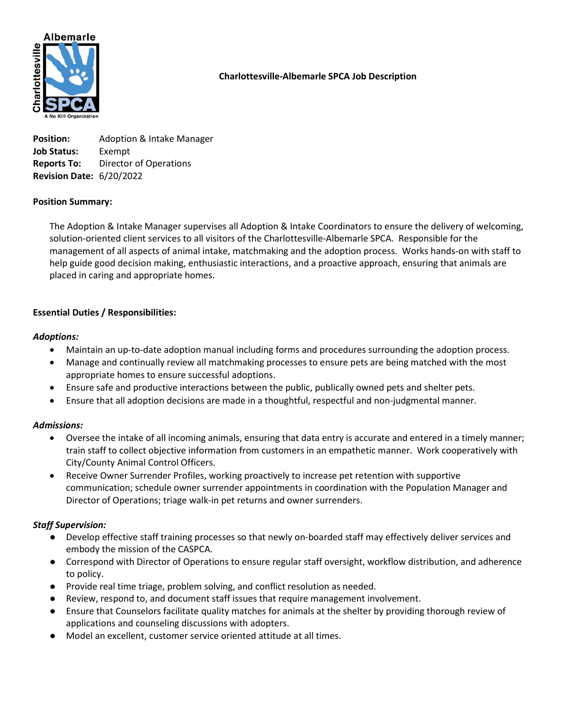

# Charlottesville-Albemarle SPCA Job Description

**Position:** Adoption & Intake Manager Job Status: Exempt Reports To: Director of Operations Revision Date: 6/20/2022

## Position Summary:

The Adoption & Intake Manager supervises all Adoption & Intake Coordinators to ensure the delivery of welcoming, solution-oriented client services to all visitors of the Charlottesville-Albemarle SPCA. Responsible for the management of all aspects of animal intake, matchmaking and the adoption process. Works hands-on with staff to help guide good decision making, enthusiastic interactions, and a proactive approach, ensuring that animals are placed in caring and appropriate homes.

## Essential Duties / Responsibilities:

#### Adoptions:

- Maintain an up-to-date adoption manual including forms and procedures surrounding the adoption process.
- Manage and continually review all matchmaking processes to ensure pets are being matched with the most appropriate homes to ensure successful adoptions.
- Ensure safe and productive interactions between the public, publically owned pets and shelter pets.
- Ensure that all adoption decisions are made in a thoughtful, respectful and non-judgmental manner.

#### Admissions:

- Oversee the intake of all incoming animals, ensuring that data entry is accurate and entered in a timely manner; train staff to collect objective information from customers in an empathetic manner. Work cooperatively with City/County Animal Control Officers.
- Receive Owner Surrender Profiles, working proactively to increase pet retention with supportive communication; schedule owner surrender appointments in coordination with the Population Manager and Director of Operations; triage walk-in pet returns and owner surrenders.

#### Staff Supervision:

- Develop effective staff training processes so that newly on-boarded staff may effectively deliver services and embody the mission of the CASPCA.
- Correspond with Director of Operations to ensure regular staff oversight, workflow distribution, and adherence to policy.
- Provide real time triage, problem solving, and conflict resolution as needed.
- Review, respond to, and document staff issues that require management involvement.
- Ensure that Counselors facilitate quality matches for animals at the shelter by providing thorough review of applications and counseling discussions with adopters.
- Model an excellent, customer service oriented attitude at all times.